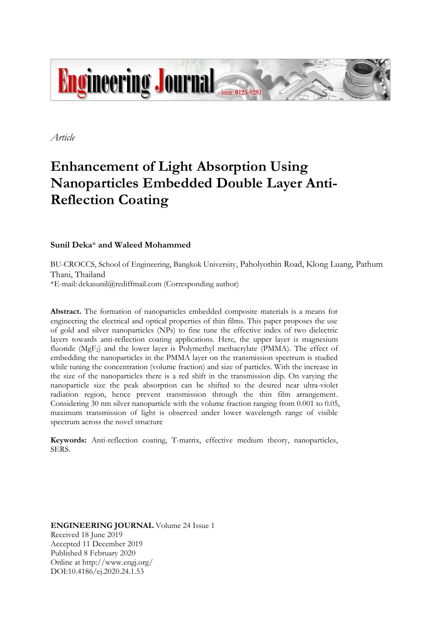

*Article*

# **Enhancement of Light Absorption Using Nanoparticles Embedded Double Layer Anti-Reflection Coating**

## **Sunil Deka**\* **and Waleed Mohammed**

BU-CROCCS, School of Engineering, Bangkok University, Paholyothin Road, Klong Luang, Pathum Thani, Thailand \*E-mail: dekasunil@rediffmail.com (Corresponding author)

**Abstract.** The formation of nanoparticles embedded composite materials is a means for engineering the electrical and optical properties of thin films. This paper proposes the use of gold and silver nanoparticles (NPs) to fine tune the effective index of two dielectric layers towards anti-reflection coating applications. Here, the upper layer is magnesium fluoride (MgF2) and the lower layer is Polymethyl methacrylate (PMMA). The effect of embedding the nanoparticles in the PMMA layer on the transmission spectrum is studied while tuning the concentration (volume fraction) and size of particles. With the increase in the size of the nanoparticles there is a red shift in the transmission dip. On varying the nanoparticle size the peak absorption can be shifted to the desired near ultra-violet radiation region, hence prevent transmission through the thin film arrangement. Considering 30 nm silver nanoparticle with the volume fraction ranging from 0.001 to 0.05, maximum transmission of light is observed under lower wavelength range of visible spectrum across the novel structure

**Keywords:** Anti-reflection coating, T-matrix, effective medium theory, nanoparticles, SERS.

**ENGINEERING JOURNAL** Volume 24 Issue 1 Received 18 June 2019 Accepted 11 December 2019 Published 8 February 2020 Online at http://www.engj.org/ DOI:10.4186/ej.2020.24.1.53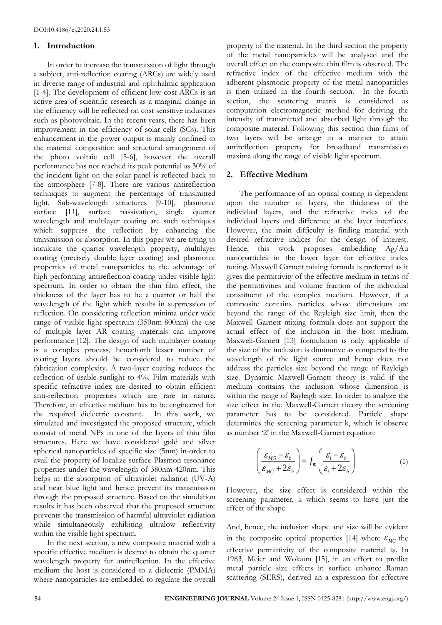## **1. Introduction**

In order to increase the transmission of light through a subject, anti-reflection coating (ARCs) are widely used in diverse range of industrial and ophthalmic application [1-4]. The development of efficient low-cost ARCs is an active area of scientific research as a marginal change in the efficiency will be reflected on cost sensitive industries such as photovoltaic. In the recent years, there has been improvement in the efficiency of solar cells (SCs). This enhancement in the power output is mainly confined to the material composition and structural arrangement of the photo voltaic cell [5-6], however the overall performance has not reached its peak potential as 30% of the incident light on the solar panel is reflected back to the atmosphere [7-8]. There are various antireflection techniques to augment the percentage of transmitted light. Sub-wavelength structures [9-10], plasmonic surface [11], surface passivation, single quarter wavelength and multilayer coating are such techniques which suppress the reflection by enhancing the transmission or absorption. In this paper we are trying to inculcate the quarter wavelength property, multilayer coating (precisely double layer coating) and plasmonic properties of metal nanoparticles to the advantage of high performing antireflection coating under visible light spectrum. In order to obtain the thin film effect, the thickness of the layer has to be a quarter or half the wavelength of the light which results in suppression of reflection. On considering reflection minima under wide range of visible light spectrum (350nm-800nm) the use of multiple layer AR coating materials can improve performance [12]. The design of such multilayer coating is a complex process, henceforth lesser number of coating layers should be considered to reduce the fabrication complexity. A two-layer coating reduces the reflection of usable sunlight to 4%. Film materials with specific refractive index are desired to obtain efficient anti-reflection properties which are rare in nature. Therefore, an effective medium has to be engineered for the required dielectric constant. In this work, we simulated and investigated the proposed structure, which consist of metal NPs in one of the layers of thin film structures. Here we have considered gold and silver spherical nanoparticles of specific size (5nm) in-order to avail the property of localize surface Plasmon resonance properties under the wavelength of 380nm-420nm. This helps in the absorption of ultraviolet radiation (UV-A) and near blue light and hence prevent its transmission through the proposed structure. Based on the simulation results it has been observed that the proposed structure prevents the transmission of harmful ultraviolet radiation while simultaneously exhibiting ultralow reflectivity within the visible light spectrum.

In the next section, a new composite material with a specific effective medium is desired to obtain the quarter wavelength property for antireflection. In the effective medium the host is considered to a dielectric (PMMA) where nanoparticles are embedded to regulate the overall

property of the material. In the third section the property of the metal nanoparticles will be analysed and the overall effect on the composite thin film is observed. The refractive index of the effective medium with the adherent plasmonic property of the metal nanoparticles is then utilized in the fourth section. In the fourth section, the scattering matrix is considered as computation electromagnetic method for deriving the intensity of transmitted and absorbed light through the composite material. Following this section thin films of two layers will be arrange in a manner to attain antireflection property for broadband transmission maxima along the range of visible light spectrum.

## **2. Effective Medium**

The performance of an optical coating is dependent upon the number of layers, the thickness of the individual layers, and the refractive index of the individual layers and difference at the layer interfaces. However, the main difficulty is finding material with desired refractive indices for the design of interest. Hence, this work proposes embedding Ag/Au nanoparticles in the lower layer for effective index tuning. Maxwell Garnett mixing formula is preferred as it gives the permittivity of the effective medium in terms of the permittivities and volume fraction of the individual constituent of the complex medium. However, if a composite contains particles whose dimensions are beyond the range of the Rayleigh size limit, then the Maxwell Garnett mixing formula does not support the actual effect of the inclusion in the host medium. Maxwell-Garnett [13] formulation is only applicable if the size of the inclusion is diminutive as compared to the wavelength of the light source and hence does not address the particles size beyond the range of Rayleigh size. Dynamic Maxwell-Garnett theory is valid if the medium contains the inclusion whose dimension is within the range of Rayleigh size. In order to analyze the size effect in the Maxwell-Garnett theory the screening parameter has to be considered. Particle shape determines the screening parameter k, which is observe as number '2' in the Maxwell-Garnett equation:

$$
\left(\frac{\varepsilon_{MG} - \varepsilon_h}{\varepsilon_{MG} + 2\varepsilon_h}\right) = f_m\left(\frac{\varepsilon_i - \varepsilon_h}{\varepsilon_i + 2\varepsilon_h}\right) \tag{1}
$$

However, the size effect is considered within the screening parameter, k which seems to have just the effect of the shape.

And, hence, the inclusion shape and size will be evident in the composite optical properties [14] where  $\varepsilon_{MG}$  the effective permittivity of the composite material is. In 1983, Meier and Wokaun [15], in an effort to predict metal particle size effects in surface enhance Raman scattering (SERS), derived an a expression for effective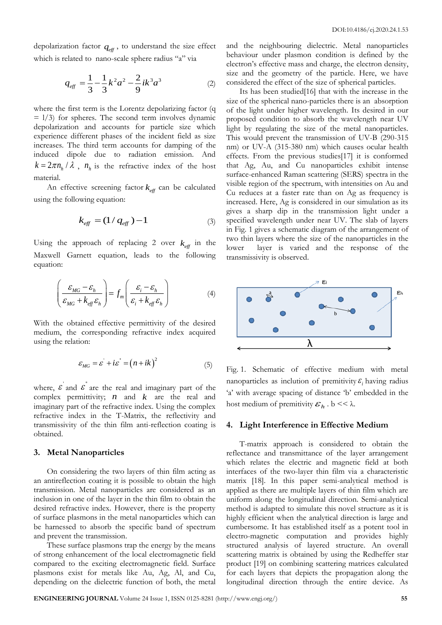depolarization factor  $q_{\it eff}^{\phantom{\dag}}$  , to understand the size effect which is related to nano-scale sphere radius "a" via

$$
q_{\text{eff}} = \frac{1}{3} - \frac{1}{3}k^2 a^2 - \frac{2}{9}ik^3 a^3 \tag{2}
$$

where the first term is the Lorentz depolarizing factor (q  $= 1/3$ ) for spheres. The second term involves dynamic depolarization and accounts for particle size which experience different phases of the incident field as size increases. The third term accounts for damping of the induced dipole due to radiation emission. And  $k = 2\pi n_h / \lambda$ ,  $n_h$  is the refractive index of the host material.

An effective screening factor  $k_{\text{eff}}$  can be calculated using the following equation:

$$
k_{\text{eff}} = (1 / q_{\text{eff}}) - 1 \tag{3}
$$

Using the approach of replacing 2 over  $k_{\text{eff}}$  in the Maxwell Garnett equation, leads to the following equation:

$$
\left(\frac{\varepsilon_{MG} - \varepsilon_h}{\varepsilon_{MG} + k_{\text{eff}} \varepsilon_h}\right) = f_m \left(\frac{\varepsilon_i - \varepsilon_h}{\varepsilon_i + k_{\text{eff}} \varepsilon_h}\right) \tag{4}
$$

With the obtained effective permittivity of the desired medium, the corresponding refractive index acquired using the relation:

$$
\varepsilon_{MG} = \varepsilon + i\varepsilon^* = (n + ik)^2 \tag{5}
$$

where,  $\varepsilon$  and  $\varepsilon$  are the real and imaginary part of the complex permittivity;  $n$  and  $k$  are the real and imaginary part of the refractive index. Using the complex refractive index in the T-Matrix, the reflectivity and transmissivity of the thin film anti-reflection coating is obtained.

#### **3. Metal Nanoparticles**

On considering the two layers of thin film acting as an antireflection coating it is possible to obtain the high transmission. Metal nanoparticles are considered as an inclusion in one of the layer in the thin film to obtain the desired refractive index. However, there is the property of surface plasmons in the metal nanoparticles which can be harnessed to absorb the specific band of spectrum and prevent the transmission.

These surface plasmons trap the energy by the means of strong enhancement of the local electromagnetic field compared to the exciting electromagnetic field. Surface plasmons exist for metals like Au, Ag, Al, and Cu, depending on the dielectric function of both, the metal

and the neighbouring dielectric. Metal nanoparticles behaviour under plasmon condition is defined by the electron's effective mass and charge, the electron density, size and the geometry of the particle. Here, we have considered the effect of the size of spherical particles.

Its has been studied[16] that with the increase in the size of the spherical nano-particles there is an absorption of the light under higher wavelength. Its desired in our proposed condition to absorb the wavelength near UV light by regulating the size of the metal nanoparticles. This would prevent the transmission of UV-B (290-315 nm) or UV-A (315-380 nm) which causes ocular health effects. From the previous studies[17] it is conformed that Ag, Au, and Cu nanoparticles exhibit intense surface-enhanced Raman scattering (SERS) spectra in the visible region of the spectrum, with intensities on Au and Cu reduces at a faster rate than on Ag as frequency is increased. Here, Ag is considered in our simulation as its gives a sharp dip in the transmission light under a specified wavelength under near UV. The slab of layers in Fig. 1 gives a schematic diagram of the arrangement of two thin layers where the size of the nanoparticles in the lower layer is varied and the response of the transmissivity is observed. longitudinal direction that is the entire of the entire device of the entire device of the entire device of the entire of the entire device. The entire device of the entire device of the entire device of the entire devi



Fig. 1. Schematic of effective medium with metal nanoparticles as inclution of premitivity  $\varepsilon_i$  having radius 'a' with average spacing of distance 'b' embedded in the host medium of premitivity  $\mathcal{E}_h$ . b <<  $\lambda$ .

#### **4. Light Interference in Effective Medium**

T-matrix approach is considered to obtain the reflectance and transmittance of the layer arrangement which relates the electric and magnetic field at both interfaces of the two-layer thin film via a characteristic matrix [18]. In this paper semi-analytical method is applied as there are multiple layers of thin film which are uniform along the longitudinal direction. Semi-analytical method is adapted to simulate this novel structure as it is highly efficient when the analytical direction is large and cumbersome. It has established itself as a potent tool in electro-magnetic computation and provides highly structured analysis of layered structure. An overall scattering matrix is obtained by using the Redheffer star product [19] on combining scattering matrices calculated for each layers that depicts the propagation along the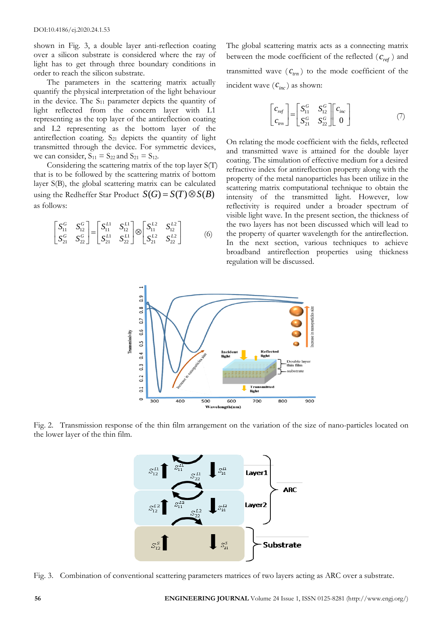shown in Fig. 3, a double layer anti-reflection coating over a silicon substrate is considered where the ray of light has to get through three boundary conditions in order to reach the silicon substrate.

The parameters in the scattering matrix actually quantify the physical interpretation of the light behaviour in the device. The  $S_{11}$  parameter depicts the quantity of light reflected from the concern layer with L1 representing as the top layer of the antireflection coating and L2 representing as the bottom layer of the antireflection coating.  $S_{21}$  depicts the quantity of light transmitted through the device. For symmetric devices, we can consider,  $S_{11} = S_{22}$  and  $S_{21} = S_{12}$ .

Considering the scattering matrix of the top layer S(T) that is to be followed by the scattering matrix of bottom layer S(B), the global scattering matrix can be calculated using the Redheffer Star Product  $S(G)$  =  $S(T)$   $\otimes$   $S(B)$ as follows:

$$
\begin{bmatrix} S_{11}^G & S_{12}^G \\ S_{21}^G & S_{22}^G \end{bmatrix} = \begin{bmatrix} S_{11}^{L1} & S_{12}^{L1} \\ S_{21}^{L1} & S_{22}^{L1} \end{bmatrix} \otimes \begin{bmatrix} S_{11}^{L2} & S_{12}^{L2} \\ S_{21}^{L2} & S_{22}^{L2} \end{bmatrix} \tag{6}
$$

The global scattering matrix acts as a connecting matrix between the mode coefficient of the reflected ( $c_{ref}$ ) and transmitted wave  $(c_{tm})$  to the mode coefficient of the incident wave  $(c_{inc})$  as shown:

$$
\begin{bmatrix} c_{ref} \\ c_{tm} \end{bmatrix} = \begin{bmatrix} S_{11}^G & S_{12}^G \\ S_{21}^G & S_{22}^G \end{bmatrix} \begin{bmatrix} c_{inc} \\ 0 \end{bmatrix} \tag{7}
$$

On relating the mode coefficient with the fields, reflected and transmitted wave is attained for the double layer coating. The simulation of effective medium for a desired refractive index for antireflection property along with the property of the metal nanoparticles has been utilize in the scattering matrix computational technique to obtain the intensity of the transmitted light. However, low reflectivity is required under a broader spectrum of visible light wave. In the present section, the thickness of the two layers has not been discussed which will lead to the property of quarter wavelength for the antireflection. In the next section, various techniques to achieve broadband antireflection properties using thickness regulation will be discussed.



Fig. 2. Transmission response of the thin film arrangement on the variation of the size of nano-particles located on the lower layer of the thin film.



Fig. 3. Combination of conventional scattering parameters matrices of two layers acting as ARC over a substrate.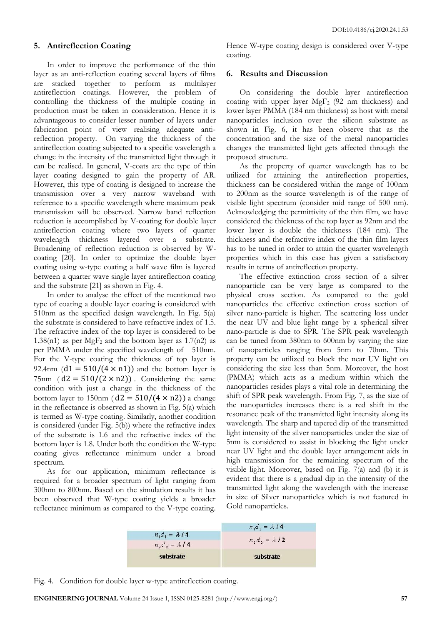## **5. Antireflection Coating**

In order to improve the performance of the thin layer as an anti-reflection coating several layers of films are stacked together to perform as multilayer antireflection coatings. However, the problem of controlling the thickness of the multiple coating in production must be taken in consideration. Hence it is advantageous to consider lesser number of layers under fabrication point of view realising adequate antireflection property. On varying the thickness of the antireflection coating subjected to a specific wavelength a change in the intensity of the transmitted light through it can be realised. In general, V-coats are the type of thin layer coating designed to gain the property of AR. However, this type of coating is designed to increase the transmission over a very narrow waveband with reference to a specific wavelength where maximum peak transmission will be observed. Narrow band reflection reduction is accomplished by V-coating for double layer antireflection coating where two layers of quarter wavelength thickness layered over a substrate. Broadening of reflection reduction is observed by Wcoating [20]. In order to optimize the double layer coating using w-type coating a half wave film is layered between a quarter wave single layer antireflection coating and the substrate [21] as shown in Fig. 4.

In order to analyse the effect of the mentioned two type of coating a double layer coating is considered with 510nm as the specified design wavelength. In Fig. 5(a) the substrate is considered to have refractive index of 1.5. The refractive index of the top layer is considered to be 1.38(n1) as per  $MgF_2$  and the bottom layer as 1.7(n2) as per PMMA under the specified wavelength of 510nm. For the V-type coating the thickness of top layer is 92.4nm  $(d1 = 510/(4 \times n1))$  and the bottom layer is 75nm ( $d2 = 510/(2 \times n2)$ ). Considering the same condition with just a change in the thickness of the bottom layer to 150nm ( $d2 = 510/(4 \times n2)$ ) a change in the reflectance is observed as shown in Fig. 5(a) which is termed as W-type coating. Similarly, another condition is considered (under Fig. 5(b)) where the refractive index of the substrate is 1.6 and the refractive index of the bottom layer is 1.8. Under both the condition the W-type coating gives reflectance minimum under a broad spectrum.

As for our application, minimum reflectance is required for a broader spectrum of light ranging from 300nm to 800nm. Based on the simulation results it has been observed that W-type coating yields a broader reflectance minimum as compared to the V-type coating.

Hence W-type coating design is considered over V-type coating.

#### **6. Results and Discussion**

On considering the double layer antireflection coating with upper layer  $MgF_2$  (92 nm thickness) and lower layer PMMA (184 nm thickness) as host with metal nanoparticles inclusion over the silicon substrate as shown in Fig. 6, it has been observe that as the concentration and the size of the metal nanoparticles changes the transmitted light gets affected through the proposed structure.

As the property of quarter wavelength has to be utilized for attaining the antireflection properties, thickness can be considered within the range of 100nm to 200nm as the source wavelength is of the range of visible light spectrum (consider mid range of 500 nm). Acknowledging the permittivity of the thin film, we have considered the thickness of the top layer as 92nm and the lower layer is double the thickness (184 nm). The thickness and the refractive index of the thin film layers has to be tuned in order to attain the quarter wavelength properties which in this case has given a satisfactory results in terms of antireflection property.

The effective extinction cross section of a silver nanoparticle can be very large as compared to the physical cross section. As compared to the gold nanoparticles the effective extinction cross section of silver nano-particle is higher. The scattering loss under the near UV and blue light range by a spherical silver nano-particle is due to SPR. The SPR peak wavelength can be tuned from 380nm to 600nm by varying the size of nanoparticles ranging from 5nm to 70nm. This property can be utilized to block the near UV light on considering the size less than 5nm. Moreover, the host (PMMA) which acts as a medium within which the nanoparticles resides plays a vital role in determining the shift of SPR peak wavelength. From Fig. 7, as the size of the nanoparticles increases there is a red shift in the resonance peak of the transmitted light intensity along its wavelength. The sharp and tapered dip of the transmitted light intensity of the silver nanoparticles under the size of 5nm is considered to assist in blocking the light under near UV light and the double layer arrangement aids in high transmission for the remaining spectrum of the visible light. Moreover, based on Fig. 7(a) and (b) it is evident that there is a gradual dip in the intensity of the transmitted light along the wavelength with the increase in size of Silver nanoparticles which is not featured in Gold nanoparticles.

| $n_1d_1 = \lambda/4$ | $n_1 d_1 = \lambda / 4$ |
|----------------------|-------------------------|
| $n_2d_2 = \lambda/4$ | $n_2 d_2 = \lambda / 2$ |
| substrate            | substrate               |

Fig. 4. Condition for double layer w-type antireflection coating.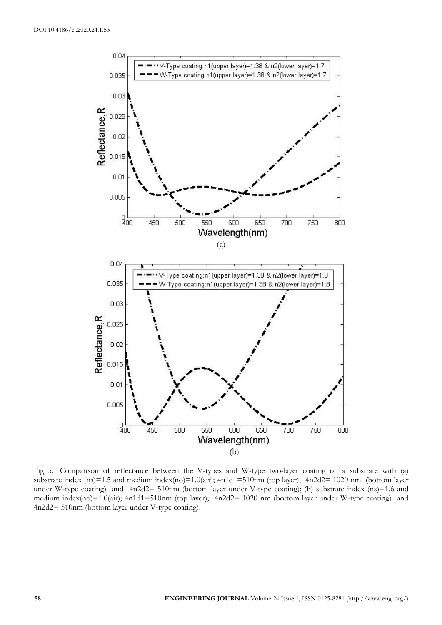

Fig. 5. Comparison of reflectance between the V-types and W-type two-layer coating on a substrate with (a) substrate index (ns)=1.5 and medium index(no)=1.0(air); 4n1d1=510nm (top layer); 4n2d2= 1020 nm (bottom layer under W-type coating) and 4n2d2= 510nm (bottom layer under V-type coating); (b) substrate index (ns)=1.6 and medium index(no)=1.0(air); 4n1d1=510nm (top layer); 4n2d2= 1020 nm (bottom layer under W-type coating) and 4n2d2= 510nm (bottom layer under V-type coating).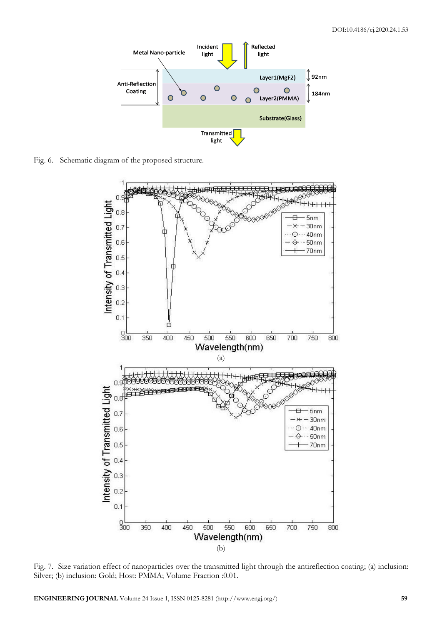

Fig. 6. Schematic diagram of the proposed structure.



Fig. 7. Size variation effect of nanoparticles over the transmitted light through the antireflection coating; (a) inclusion: Silver; (b) inclusion: Gold; Host: PMMA; Volume Fraction :0.01.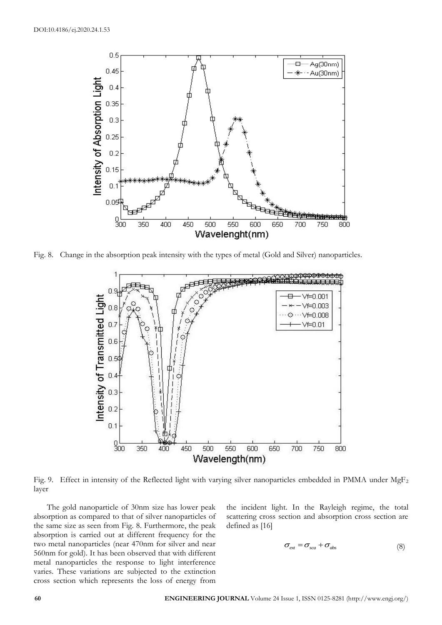

Fig. 8. Change in the absorption peak intensity with the types of metal (Gold and Silver) nanoparticles.



Fig. 9. Effect in intensity of the Reflected light with varying silver nanoparticles embedded in PMMA under  $MgF_2$ layer

The gold nanoparticle of 30nm size has lower peak absorption as compared to that of silver nanoparticles of the same size as seen from Fig. 8. Furthermore, the peak absorption is carried out at different frequency for the two metal nanoparticles (near 470nm for silver and near 560nm for gold). It has been observed that with different metal nanoparticles the response to light interference varies. These variations are subjected to the extinction cross section which represents the loss of energy from

the incident light. In the Rayleigh regime, the total scattering cross section and absorption cross section are defined as [16]

$$
\sigma_{\text{ext}} = \sigma_{\text{sc}a} + \sigma_{\text{abs}} \tag{8}
$$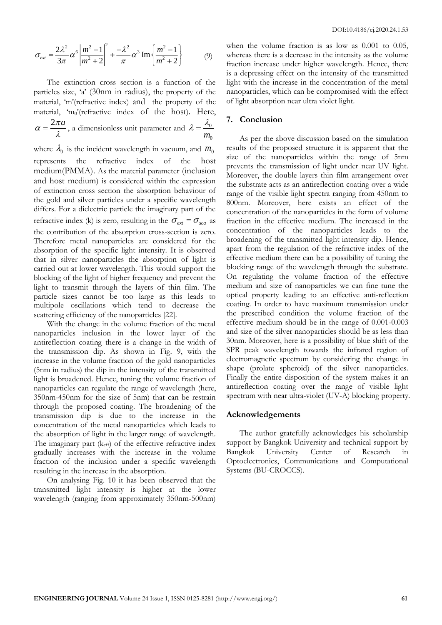$$
\sigma_{ext} = \frac{2\lambda^2}{3\pi} \alpha^6 \left| \frac{m^2 - 1}{m^2 + 2} \right|^2 + \frac{-\lambda^2}{\pi} \alpha^3 \operatorname{Im} \left\{ \frac{m^2 - 1}{m^2 + 2} \right\} \tag{9}
$$

The extinction cross section is a function of the particles size, 'a' (30nm in radius), the property of the material, 'm'(refractive index) and the property of the material, 'm0'(refractive index of the host). Here,  $\alpha = \frac{2\pi a}{\lambda}$ , a dimensionless unit parameter and  $\lambda = \frac{\lambda_0}{m}$  $m^{\vphantom{\dagger}}_0$  $\lambda=\frac{\lambda_0}{\sqrt{2}}$ 

where  $\lambda_0$  is the incident wavelength in vacuum, and  $m_0$ represents the refractive index of the host medium(PMMA). As the material parameter (inclusion and host medium) is considered within the expression of extinction cross section the absorption behaviour of the gold and silver particles under a specific wavelength differs. For a dielectric particle the imaginary part of the refractive index (k) is zero, resulting in the  $\sigma_{ext} = \sigma_{sca}$  as the contribution of the absorption cross-section is zero. Therefore metal nanoparticles are considered for the absorption of the specific light intensity. It is observed that in silver nanoparticles the absorption of light is carried out at lower wavelength. This would support the blocking of the light of higher frequency and prevent the light to transmit through the layers of thin film. The particle sizes cannot be too large as this leads to multipole oscillations which tend to decrease the scattering efficiency of the nanoparticles [22].

With the change in the volume fraction of the metal nanoparticles inclusion in the lower layer of the antireflection coating there is a change in the width of the transmission dip. As shown in Fig. 9, with the increase in the volume fraction of the gold nanoparticles (5nm in radius) the dip in the intensity of the transmitted light is broadened. Hence, tuning the volume fraction of nanoparticles can regulate the range of wavelength (here, 350nm-450nm for the size of 5nm) that can be restrain through the proposed coating. The broadening of the transmission dip is due to the increase in the concentration of the metal nanoparticles which leads to the absorption of light in the larger range of wavelength. The imaginary part  $(k<sub>eff</sub>)$  of the effective refractive index gradually increases with the increase in the volume fraction of the inclusion under a specific wavelength resulting in the increase in the absorption.

On analysing Fig. 10 it has been observed that the transmitted light intensity is higher at the lower wavelength (ranging from approximately 350nm-500nm) when the volume fraction is as low as 0.001 to 0.05, whereas there is a decrease in the intensity as the volume fraction increase under higher wavelength. Hence, there is a depressing effect on the intensity of the transmitted light with the increase in the concentration of the metal nanoparticles, which can be compromised with the effect of light absorption near ultra violet light.

## **7. Conclusion**

As per the above discussion based on the simulation results of the proposed structure it is apparent that the size of the nanoparticles within the range of 5nm prevents the transmission of light under near UV light. Moreover, the double layers thin film arrangement over the substrate acts as an antireflection coating over a wide range of the visible light spectra ranging from 450nm to 800nm. Moreover, here exists an effect of the concentration of the nanoparticles in the form of volume fraction in the effective medium. The increased in the concentration of the nanoparticles leads to the broadening of the transmitted light intensity dip. Hence, apart from the regulation of the refractive index of the effective medium there can be a possibility of tuning the blocking range of the wavelength through the substrate. On regulating the volume fraction of the effective medium and size of nanoparticles we can fine tune the optical property leading to an effective anti-reflection coating. In order to have maximum transmission under the prescribed condition the volume fraction of the effective medium should be in the range of 0.001-0.003 and size of the silver nanoparticles should be as less than 30nm. Moreover, here is a possibility of blue shift of the SPR peak wavelength towards the infrared region of electromagnetic spectrum by considering the change in shape (prolate spheroid) of the silver nanoparticles. Finally the entire disposition of the system makes it an antireflection coating over the range of visible light spectrum with near ultra-violet (UV-A) blocking property.

#### **Acknowledgements**

The author gratefully acknowledges his scholarship support by Bangkok University and technical support by Bangkok University Center of Research in Optoelectronics, Communications and Computational Systems (BU-CROCCS).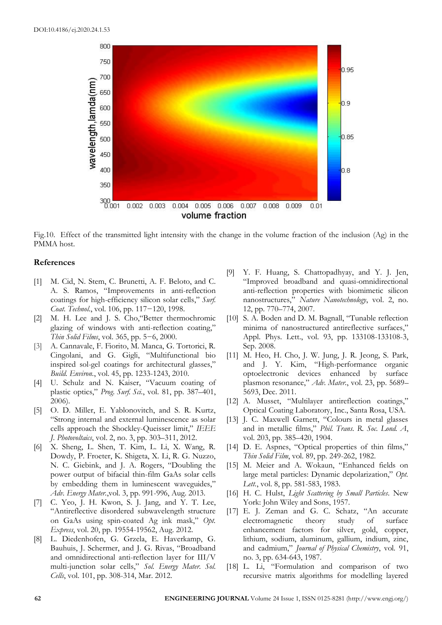

Fig.10. Effect of the transmitted light intensity with the change in the volume fraction of the inclusion (Ag) in the PMMA host.

### **References**

- [1] M. Cid, N. Stem, C. Brunetti, A. F. Beloto, and C. A. S. Ramos, "Improvements in anti-reflection coatings for high-efficiency silicon solar cells," *Surf. Coat. Technol.*, vol. 106, pp. 117−120, 1998.
- [2] M. H. Lee and J. S. Cho,"Better thermochromic glazing of windows with anti-reflection coating," *Thin Solid Films*, vol. 365, pp. 5−6, 2000.
- [3] A. Cannavale, F. Fiorito, M. Manca, G. Tortorici, R. Cingolani, and G. Gigli, "Multifunctional bio inspired sol-gel coatings for architectural glasses," *Build. Environ.*, vol. 45, pp. 1233-1243, 2010.
- [4] U. Schulz and N. Kaiser, "Vacuum coating of plastic optics," *Prog. Surf. Sci.*, vol. 81, pp. 387–401, 2006).
- [5] O. D. Miller, E. Yablonovitch, and S. R. Kurtz, "Strong internal and external luminescence as solar cells approach the Shockley-Queisser limit," *IEEE J. Photovoltaics*, vol. 2, no. 3, pp. 303–311, 2012.
- [6] X. Sheng, L. Shen, T. Kim, L. Li, X. Wang, R. Dowdy, P. Froeter, K. Shigeta, X. Li, R. G. Nuzzo, N. C. Giebink, and J. A. Rogers, "Doubling the power output of bifacial thin-film GaAs solar cells by embedding them in luminescent waveguides," *Adv. Energy Mater.*,vol. 3, pp. 991-996, Aug. 2013.
- [7] C. Yeo, J. H. Kwon, S. J. Jang, and Y. T. Lee, "Antireflective disordered subwavelength structure on GaAs using spin-coated Ag ink mask," *Opt. Express*, vol. 20, pp. 19554-19562, Aug. 2012.
- [8] L. Diedenhofen, G. Grzela, E. Haverkamp, G. Bauhuis, J. Schermer, and J. G. Rivas, "Broadband and omnidirectional anti-reflection layer for III/V multi-junction solar cells," *Sol. Energy Mater. Sol. Cells*, vol. 101, pp. 308-314, Mar. 2012.
- [9] Y. F. Huang, S. Chattopadhyay, and Y. J. Jen, "Improved broadband and quasi-omnidirectional anti-reflection properties with biomimetic silicon nanostructures," *Nature Nanotechnology*, vol. 2, no. 12, pp. 770–774, 2007.
- [10] S. A. Boden and D. M. Bagnall, "Tunable reflection minima of nanostructured antireflective surfaces," Appl. Phys. Lett., vol. 93, pp. 133108-133108-3, Sep. 2008.
- [11] M. Heo, H. Cho, J. W. Jung, J. R. Jeong, S. Park, and J. Y. Kim, "High-performance organic optoelectronic devices enhanced by surface plasmon resonance," *Adv. Mater.*, vol. 23, pp. 5689– 5693, Dec. 2011.
- [12] A. Musset, "Multilayer antireflection coatings," Optical Coating Laboratory, Inc., Santa Rosa, USA.
- [13] J. C. Maxwell Garnett, "Colours in metal glasses and in metallic films," *Phil. Trans. R. Soc. Lond. A*, vol. 203, pp. 385–420, 1904.
- [14] D. E. Aspnes, "Optical properties of thin films," *Thin Solid Film*, vol. 89, pp. 249-262, 1982.
- [15] M. Meier and A. Wokaun, "Enhanced fields on large metal particles: Dynamic depolarization," *Opt. Lett.*, vol. 8, pp. 581-583, 1983.
- [16] H. C. Hulst, *Light Scattering by Small Particles*. New York: John Wiley and Sons, 1957.
- [17] E. J. Zeman and G. C. Schatz, "An accurate electromagnetic theory study of surface enhancement factors for silver, gold, copper, lithium, sodium, aluminum, gallium, indium, zinc, and cadmium," *Journal of Physical Chemistry*, vol. 91, no. 3, pp. 634-643, 1987.
- [18] L. Li, "Formulation and comparison of two recursive matrix algorithms for modelling layered